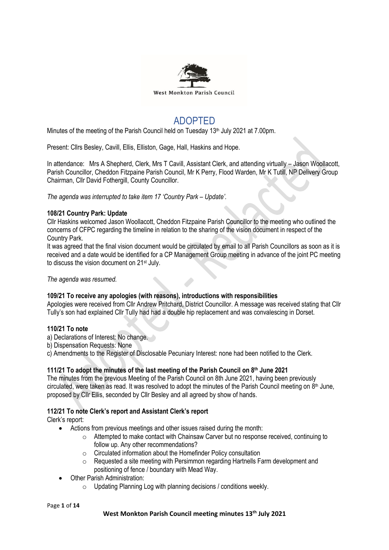

# ADOPTED

Minutes of the meeting of the Parish Council held on Tuesday 13<sup>th</sup> July 2021 at 7.00pm.

Present: Cllrs Besley, Cavill, Ellis, Elliston, Gage, Hall, Haskins and Hope.

In attendance: Mrs A Shepherd, Clerk, Mrs T Cavill, Assistant Clerk, and attending virtually – Jason Woollacott, Parish Councillor, Cheddon Fitzpaine Parish Council, Mr K Perry, Flood Warden, Mr K Tutill, NP Delivery Group Chairman, Cllr David Fothergill, County Councillor.

*The agenda was interrupted to take item 17 'Country Park – Update'.*

## **108/21 Country Park: Update**

Cllr Haskins welcomed Jason Woollacott, Cheddon Fitzpaine Parish Councillor to the meeting who outlined the concerns of CFPC regarding the timeline in relation to the sharing of the vision document in respect of the Country Park.

It was agreed that the final vision document would be circulated by email to all Parish Councillors as soon as it is received and a date would be identified for a CP Management Group meeting in advance of the joint PC meeting to discuss the vision document on 21st July.

#### *The agenda was resumed.*

## **109/21 To receive any apologies (with reasons), introductions with responsibilities**

Apologies were received from Cllr Andrew Pritchard, District Councillor. A message was received stating that Cllr Tully's son had explained Cllr Tully had had a double hip replacement and was convalescing in Dorset.

## **110/21 To note**

- a) Declarations of Interest: No change.
- b) Dispensation Requests: None
- c) Amendments to the Register of Disclosable Pecuniary Interest: none had been notified to the Clerk.

## **111/21 To adopt the minutes of the last meeting of the Parish Council on 8 th June 2021**

The minutes from the previous Meeting of the Parish Council on 8th June 2021, having been previously circulated, were taken as read. It was resolved to adopt the minutes of the Parish Council meeting on 8<sup>th</sup> June, proposed by Cllr Ellis, seconded by Cllr Besley and all agreed by show of hands.

## **112/21 To note Clerk's report and Assistant Clerk's report**

Clerk's report:

- Actions from previous meetings and other issues raised during the month:
	- $\circ$  Attempted to make contact with Chainsaw Carver but no response received, continuing to follow up. Any other recommendations?
	- o Circulated information about the Homefinder Policy consultation
	- o Requested a site meeting with Persimmon regarding Hartnells Farm development and positioning of fence / boundary with Mead Way.
- Other Parish Administration:
	- $\circ$  Updating Planning Log with planning decisions / conditions weekly.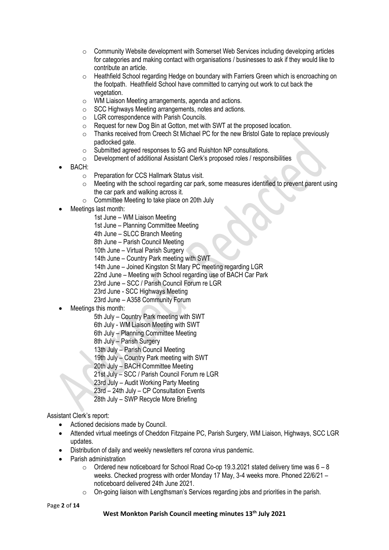- $\circ$  Community Website development with Somerset Web Services including developing articles for categories and making contact with organisations / businesses to ask if they would like to contribute an article.
- o Heathfield School regarding Hedge on boundary with Farriers Green which is encroaching on the footpath. Heathfield School have committed to carrying out work to cut back the vegetation.
- o WM Liaison Meeting arrangements, agenda and actions.
- o SCC Highways Meeting arrangements, notes and actions.
- o LGR correspondence with Parish Councils.
- o Request for new Dog Bin at Gotton, met with SWT at the proposed location.
- $\circ$  Thanks received from Creech St Michael PC for the new Bristol Gate to replace previously padlocked gate.
- o Submitted agreed responses to 5G and Ruishton NP consultations.
- o Development of additional Assistant Clerk's proposed roles / responsibilities
- BACH:
	- o Preparation for CCS Hallmark Status visit.
	- $\circ$  Meeting with the school regarding car park, some measures identified to prevent parent using the car park and walking across it.
	- o Committee Meeting to take place on 20th July
- Meetings last month:
	- 1st June WM Liaison Meeting
	- 1st June Planning Committee Meeting
	- 4th June SLCC Branch Meeting
	- 8th June Parish Council Meeting
	- 10th June Virtual Parish Surgery
	- 14th June Country Park meeting with SWT
	- 14th June Joined Kingston St Mary PC meeting regarding LGR
	- 22nd June Meeting with School regarding use of BACH Car Park
	- 23rd June SCC / Parish Council Forum re LGR
	- 23rd June SCC Highways Meeting
	- 23rd June A358 Community Forum
- Meetings this month:
	- 5th July Country Park meeting with SWT
	- 6th July WM Liaison Meeting with SWT
	- 6th July Planning Committee Meeting
	- 8th July Parish Surgery
	- 13th July Parish Council Meeting
	- 19th July Country Park meeting with SWT
	- 20th July BACH Committee Meeting
	- 21st July SCC / Parish Council Forum re LGR
	- 23rd July Audit Working Party Meeting
	- 23rd 24th July CP Consultation Events
	- 28th July SWP Recycle More Briefing

## Assistant Clerk's report:

- Actioned decisions made by Council.
- Attended virtual meetings of Cheddon Fitzpaine PC, Parish Surgery, WM Liaison, Highways, SCC LGR updates.
- Distribution of daily and weekly newsletters ref corona virus pandemic.
- Parish administration
	- $\circ$  Ordered new noticeboard for School Road Co-op 19.3.2021 stated delivery time was  $6 8$ weeks. Checked progress with order Monday 17 May, 3-4 weeks more. Phoned 22/6/21 – noticeboard delivered 24th June 2021.
	- o On-going liaison with Lengthsman's Services regarding jobs and priorities in the parish.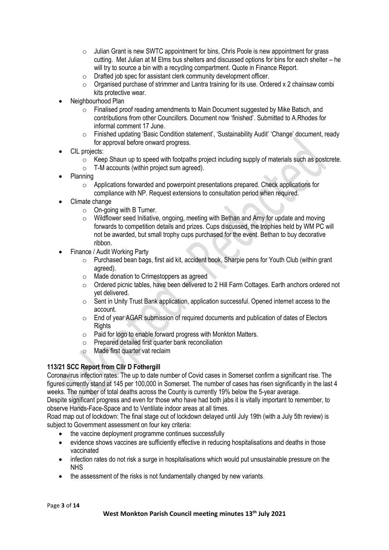- $\circ$  Julian Grant is new SWTC appointment for bins, Chris Poole is new appointment for grass cutting. Met Julian at M Elms bus shelters and discussed options for bins for each shelter – he will try to source a bin with a recycling compartment. Quote in Finance Report.
- o Drafted job spec for assistant clerk community development officer.
- $\circ$  Organised purchase of strimmer and Lantra training for its use. Ordered x 2 chainsaw combi kits protective wear.
- Neighbourhood Plan
	- $\circ$  Finalised proof reading amendments to Main Document suggested by Mike Batsch, and contributions from other Councillors. Document now 'finished'. Submitted to A.Rhodes for informal comment 17 June.
	- o Finished updating 'Basic Condition statement', 'Sustainability Audit' 'Change' document, ready for approval before onward progress.
- CIL projects:
	- $\circ$  Keep Shaun up to speed with footpaths project including supply of materials such as postcrete.
	- o T-M accounts (within project sum agreed).
- Planning
	- $\circ$  Applications forwarded and powerpoint presentations prepared. Check applications for compliance with NP. Request extensions to consultation period when required.
- Climate change
	- o On-going with B Turner.
	- o Wildflower seed Initiative, ongoing, meeting with Bethan and Amy for update and moving forwards to competition details and prizes. Cups discussed, the trophies held by WM PC will not be awarded, but small trophy cups purchased for the event. Bethan to buy decorative ribbon.
- Finance / Audit Working Party
	- o Purchased bean bags, first aid kit, accident book, Sharpie pens for Youth Club (within grant agreed).
	- o Made donation to Crimestoppers as agreed
	- $\circ$  Ordered picnic tables, have been delivered to 2 Hill Farm Cottages. Earth anchors ordered not yet delivered.
	- $\circ$  Sent in Unity Trust Bank application, application successful. Opened internet access to the account.
	- o End of year AGAR submission of required documents and publication of dates of Electors **Rights**
	- o Paid for logo to enable forward progress with Monkton Matters.
	- o Prepared detailed first quarter bank reconciliation
	- o Made first quarter vat reclaim

## **113/21 SCC Report from Cllr D Fothergill**

Coronavirus infection rates: The up to date number of Covid cases in Somerset confirm a significant rise. The figures currently stand at 145 per 100,000 in Somerset. The number of cases has risen significantly in the last 4 weeks. The number of total deaths across the County is currently 19% below the 5-year average.

Despite significant progress and even for those who have had both jabs it is vitally important to remember, to observe Hands-Face-Space and to Ventilate indoor areas at all times.

Road map out of lockdown: The final stage out of lockdown delayed until July 19th (with a July 5th review) is subject to Government assessment on four key criteria:

- the vaccine deployment programme continues successfully
- evidence shows vaccines are sufficiently effective in reducing hospitalisations and deaths in those vaccinated
- infection rates do not risk a surge in hospitalisations which would put unsustainable pressure on the NHS
- the assessment of the risks is not fundamentally changed by new variants.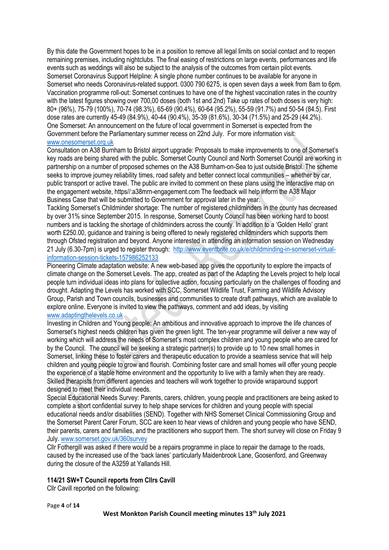By this date the Government hopes to be in a position to remove all legal limits on social contact and to reopen remaining premises, including nightclubs. The final easing of restrictions on large events, performances and life events such as weddings will also be subject to the analysis of the outcomes from certain pilot events. Somerset Coronavirus Support Helpline: A single phone number continues to be available for anyone in Somerset who needs Coronavirus-related support. 0300 790 6275, is open seven days a week from 8am to 6pm. Vaccination programme roll-out: Somerset continues to have one of the highest vaccination rates in the country with the latest figures showing over 700,00 doses (both 1st and 2nd) Take up rates of both doses is very high: 80+ (96%), 75-79 (100%), 70-74 (98.3%), 65-69 (90.4%), 60-64 (95.2%), 55-59 (91.7%) and 50-54 (84.5). First dose rates are currently 45-49 (84.9%), 40-44 (90.4%), 35-39 (81.6%), 30-34 (71.5%) and 25-29 (44.2%). One Somerset: An announcement on the future of local government in Somerset is expected from the Government before the Parliamentary summer recess on 22nd July. For more information visit: [www.onesomerset.org.uk](http://www.onesomerset.org.uk/)

Consultation on A38 Burnham to Bristol airport upgrade: Proposals to make improvements to one of Somerset's key roads are being shared with the public. Somerset County Council and North Somerset Council are working in partnership on a number of proposed schemes on the A38 Burnham-on-Sea to just outside Bristol. The scheme seeks to improve journey reliability times, road safety and better connect local communities – whether by car, public transport or active travel. The public are invited to comment on these plans using the interactive map on the engagement website, https//:a38mrn-engagement.com The feedback will help inform the A38 Major Business Case that will be submitted to Government for approval later in the year.

Tackling Somerset's Childminder shortage: The number of registered childminders in the county has decreased by over 31% since September 2015. In response, Somerset County Council has been working hard to boost numbers and is tackling the shortage of childminders across the county. In addition to a 'Golden Hello' grant worth £250.00, guidance and training is being offered to newly registered childminders which supports them through Ofsted registration and beyond. Anyone interested in attending an information session on Wednesday 21 July (6.30-7pm) is urged to register through: [http://www.eventbrite.co.uk/e/childminding-in-somerset-virtual](http://www.eventbrite.co.uk/e/childminding-in-somerset-virtual-information-session-tickets-157986252133)[information-session-tickets-157986252133](http://www.eventbrite.co.uk/e/childminding-in-somerset-virtual-information-session-tickets-157986252133)

Pioneering Climate adaptation website: A new web-based app gives the opportunity to explore the impacts of climate change on the Somerset Levels. The app, created as part of the Adapting the Levels project to help local people turn individual ideas into plans for collective action, focusing particularly on the challenges of flooding and drought. Adapting the Levels has worked with SCC, Somerset Wildlife Trust, Farming and Wildlife Advisory Group, Parish and Town councils, businesses and communities to create draft pathways, which are available to explore online. Everyone is invited to view the pathways, comment and add ideas, by visiting [www.adaptingthelevels.co.uk](http://www.adaptingthelevels.co.uk/)

Investing in Children and Young people: An ambitious and innovative approach to improve the life chances of Somerset's highest needs children has given the green light. The ten-year programme will deliver a new way of working which will address the needs of Somerset's most complex children and young people who are cared for by the Council. The council will be seeking a strategic partner(s) to provide up to 10 new small homes in Somerset, linking these to foster carers and therapeutic education to provide a seamless service that will help children and young people to grow and flourish. Combining foster care and small homes will offer young people the experience of a stable home environment and the opportunity to live with a family when they are ready. Skilled therapists from different agencies and teachers will work together to provide wraparound support designed to meet their individual needs.

Special Educational Needs Survey: Parents, carers, children, young people and practitioners are being asked to complete a short confidential survey to help shape services for children and young people with special educational needs and/or disabilities (SEND). Together with NHS Somerset Clinical Commissioning Group and the Somerset Parent Carer Forum, SCC are keen to hear views of children and young people who have SEND, their parents, carers and families, and the practitioners who support them. The short survey will close on Friday 9 July. [www.somerset.gov.uk/360survey](http://www.somerset.gov.uk/360survey)

Cllr Fothergill was asked if there would be a repairs programme in place to repair the damage to the roads, caused by the increased use of the 'back lanes' particularly Maidenbrook Lane, Goosenford, and Greenway during the closure of the A3259 at Yallands Hill.

## **114/21 SW+T Council reports from Cllrs Cavill**

Cllr Cavill reported on the following: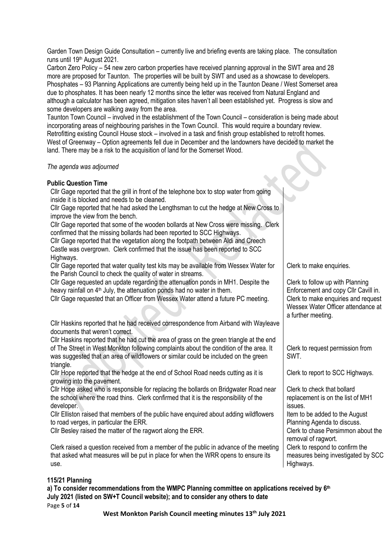Garden Town Design Guide Consultation – currently live and briefing events are taking place. The consultation runs until 19th August 2021.

Carbon Zero Policy – 54 new zero carbon properties have received planning approval in the SWT area and 28 more are proposed for Taunton. The properties will be built by SWT and used as a showcase to developers. Phosphates – 93 Planning Applications are currently being held up in the Taunton Deane / West Somerset area due to phosphates. It has been nearly 12 months since the letter was received from Natural England and although a calculator has been agreed, mitigation sites haven't all been established yet. Progress is slow and some developers are walking away from the area.

Taunton Town Council – involved in the establishment of the Town Council – consideration is being made about incorporating areas of neighbouring parishes in the Town Council. This would require a boundary review. Retrofitting existing Council House stock – involved in a task and finish group established to retrofit homes. West of Greenway – Option agreements fell due in December and the landowners have decided to market the land. There may be a risk to the acquisition of land for the Somerset Wood.

### *The agenda was adjourned*

### **Public Question Time**

Cllr Gage reported that the grill in front of the telephone box to stop water from going inside it is blocked and needs to be cleaned.

Cllr Gage reported that he had asked the Lengthsman to cut the hedge at New Cross to improve the view from the bench.

Cllr Gage reported that some of the wooden bollards at New Cross were missing. Clerk confirmed that the missing bollards had been reported to SCC Highways.

Cllr Gage reported that the vegetation along the footpath between Aldi and Creech Castle was overgrown. Clerk confirmed that the issue has been reported to SCC Highways.

Cllr Gage reported that water quality test kits may be available from Wessex Water for the Parish Council to check the quality of water in streams.

Cllr Gage requested an update regarding the attenuation ponds in MH1. Despite the heavy rainfall on 4<sup>th</sup> July, the attenuation ponds had no water in them.

Cllr Gage requested that an Officer from Wessex Water attend a future PC meeting.

**Alberta Controller** 

| Cllr Haskins reported that he had received correspondence from Airband with Wayleave |  |  |
|--------------------------------------------------------------------------------------|--|--|
| documents that weren't correct.                                                      |  |  |

Cllr Haskins reported that he had cut the area of grass on the green triangle at the end of The Street in West Monkton following complaints about the condition of the area. It was suggested that an area of wildflowers or similar could be included on the green triangle.

Cllr Hope reported that the hedge at the end of School Road needs cutting as it is growing into the pavement.

Cllr Hope asked who is responsible for replacing the bollards on Bridgwater Road near the school where the road thins. Clerk confirmed that it is the responsibility of the developer.

Cllr Elliston raised that members of the public have enquired about adding wildflowers to road verges, in particular the ERR.

Cllr Besley raised the matter of the ragwort along the ERR.

Clerk raised a question received from a member of the public in advance of the meeting that asked what measures will be put in place for when the WRR opens to ensure its use.

## **115/21 Planning**

Page **5** of **14 a) To consider recommendations from the WMPC Planning committee on applications received by 6 th July 2021 (listed on SW+T Council website); and to consider any others to date**

Clerk to make enquiries.

Clerk to follow up with Planning Enforcement and copy Cllr Cavill in. Clerk to make enquiries and request Wessex Water Officer attendance at a further meeting.

Clerk to request permission from SWT.

Clerk to report to SCC Highways.

Clerk to check that bollard replacement is on the list of MH1 issues. Item to be added to the August Planning Agenda to discuss.

Clerk to chase Persimmon about the removal of ragwort. Clerk to respond to confirm the measures being investigated by SCC Highways.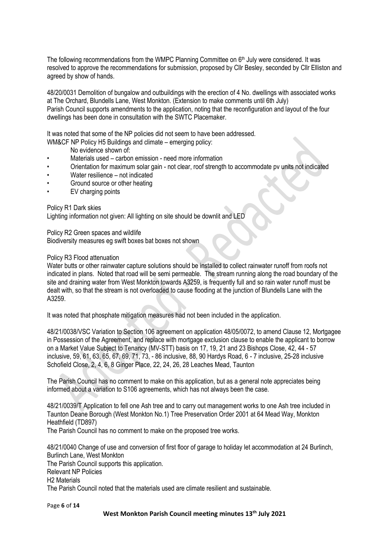The following recommendations from the WMPC Planning Committee on 6<sup>th</sup> July were considered. It was resolved to approve the recommendations for submission, proposed by Cllr Besley, seconded by Cllr Elliston and agreed by show of hands.

48/20/0031 Demolition of bungalow and outbuildings with the erection of 4 No. dwellings with associated works at The Orchard, Blundells Lane, West Monkton. (Extension to make comments until 6th July) Parish Council supports amendments to the application, noting that the reconfiguration and layout of the four dwellings has been done in consultation with the SWTC Placemaker.

It was noted that some of the NP policies did not seem to have been addressed.

WM&CF NP Policy H5 Buildings and climate – emerging policy:

No evidence shown of:

- Materials used carbon emission need more information
- Orientation for maximum solar gain not clear, roof strength to accommodate pv units not indicated
- Water resilience not indicated
- Ground source or other heating
- EV charging points

Policy R1 Dark skies

Lighting information not given: All lighting on site should be downlit and LED

Policy R2 Green spaces and wildlife

Biodiversity measures eg swift boxes bat boxes not shown

#### Policy R3 Flood attenuation

Water butts or other rainwater capture solutions should be installed to collect rainwater runoff from roofs not indicated in plans. Noted that road will be semi permeable. The stream running along the road boundary of the site and draining water from West Monkton towards A3259, is frequently full and so rain water runoff must be dealt with, so that the stream is not overloaded to cause flooding at the junction of Blundells Lane with the A3259.

It was noted that phosphate mitigation measures had not been included in the application.

48/21/0038/VSC Variation to Section 106 agreement on application 48/05/0072, to amend Clause 12, Mortgagee in Possession of the Agreement, and replace with mortgage exclusion clause to enable the applicant to borrow on a Market Value Subject to Tenancy (MV-STT) basis on 17, 19, 21 and 23 Bishops Close, 42, 44 - 57 inclusive, 59, 61, 63, 65, 67, 69, 71, 73, - 86 inclusive, 88, 90 Hardys Road, 6 - 7 inclusive, 25-28 inclusive Schofield Close, 2, 4, 6, 8 Ginger Place, 22, 24, 26, 28 Leaches Mead, Taunton

The Parish Council has no comment to make on this application, but as a general note appreciates being informed about a variation to S106 agreements, which has not always been the case.

48/21/0039/T Application to fell one Ash tree and to carry out management works to one Ash tree included in Taunton Deane Borough (West Monkton No.1) Tree Preservation Order 2001 at 64 Mead Way, Monkton Heathfield (TD897) The Parish Council has no comment to make on the proposed tree works.

48/21/0040 Change of use and conversion of first floor of garage to holiday let accommodation at 24 Burlinch, Burlinch Lane, West Monkton The Parish Council supports this application. Relevant NP Policies H2 Materials The Parish Council noted that the materials used are climate resilient and sustainable.

Page **6** of **14**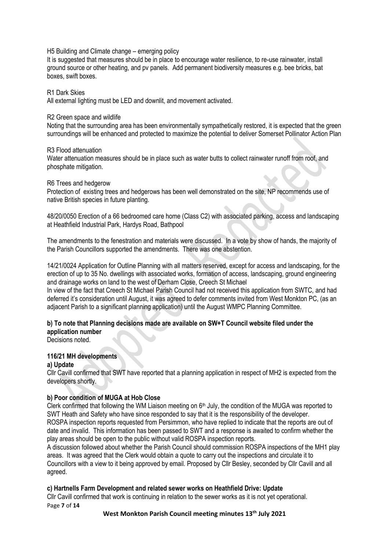H5 Building and Climate change – emerging policy

It is suggested that measures should be in place to encourage water resilience, to re-use rainwater, install ground source or other heating, and pv panels. Add permanent biodiversity measures e.g. bee bricks, bat boxes, swift boxes.

#### R1 Dark Skies

All external lighting must be LED and downlit, and movement activated.

#### R2 Green space and wildlife

Noting that the surrounding area has been environmentally sympathetically restored, it is expected that the green surroundings will be enhanced and protected to maximize the potential to deliver Somerset Pollinator Action Plan

#### R3 Flood attenuation

Water attenuation measures should be in place such as water butts to collect rainwater runoff from roof, and phosphate mitigation.

#### R6 Trees and hedgerow

Protection of existing trees and hedgerows has been well demonstrated on the site, NP recommends use of native British species in future planting.

48/20/0050 Erection of a 66 bedroomed care home (Class C2) with associated parking, access and landscaping at Heathfield Industrial Park, Hardys Road, Bathpool

The amendments to the fenestration and materials were discussed. In a vote by show of hands, the majority of the Parish Councillors supported the amendments. There was one abstention.

14/21/0024 Application for Outline Planning with all matters reserved, except for access and landscaping, for the erection of up to 35 No. dwellings with associated works, formation of access, landscaping, ground engineering and drainage works on land to the west of Derham Close, Creech St Michael

In view of the fact that Creech St Michael Parish Council had not received this application from SWTC, and had deferred it's consideration until August, it was agreed to defer comments invited from West Monkton PC, (as an adjacent Parish to a significant planning application) until the August WMPC Planning Committee.

#### **b) To note that Planning decisions made are available on SW+T Council website filed under the application number**

Decisions noted.

## **116/21 MH developments**

**a) Update** 

Cllr Cavill confirmed that SWT have reported that a planning application in respect of MH2 is expected from the developers shortly.

#### **b) Poor condition of MUGA at Hob Close**

Clerk confirmed that following the WM Liaison meeting on  $6<sup>th</sup>$  July, the condition of the MUGA was reported to SWT Heath and Safety who have since responded to say that it is the responsibility of the developer. ROSPA inspection reports requested from Persimmon, who have replied to indicate that the reports are out of date and invalid. This information has been passed to SWT and a response is awaited to confirm whether the play areas should be open to the public without valid ROSPA inspection reports.

A discussion followed about whether the Parish Council should commission ROSPA inspections of the MH1 play areas. It was agreed that the Clerk would obtain a quote to carry out the inspections and circulate it to Councillors with a view to it being approved by email. Proposed by Cllr Besley, seconded by Cllr Cavill and all agreed.

#### **c) Hartnells Farm Development and related sewer works on Heathfield Drive: Update**

Page **7** of **14** Cllr Cavill confirmed that work is continuing in relation to the sewer works as it is not yet operational.

**West Monkton Parish Council meeting minutes 13th July 2021**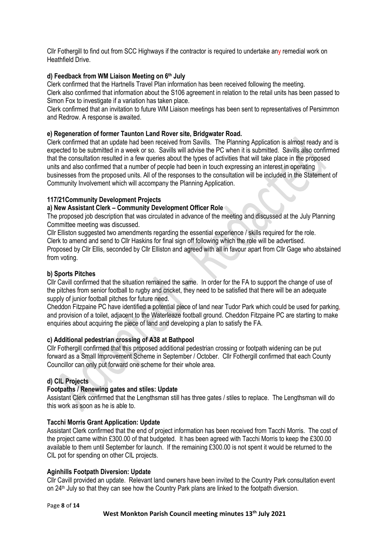Cllr Fothergill to find out from SCC Highways if the contractor is required to undertake any remedial work on Heathfield Drive.

## **d) Feedback from WM Liaison Meeting on 6 th July**

Clerk confirmed that the Hartnells Travel Plan information has been received following the meeting.

Clerk also confirmed that information about the S106 agreement in relation to the retail units has been passed to Simon Fox to investigate if a variation has taken place.

Clerk confirmed that an invitation to future WM Liaison meetings has been sent to representatives of Persimmon and Redrow. A response is awaited.

#### **e) Regeneration of former Taunton Land Rover site, Bridgwater Road.**

Clerk confirmed that an update had been received from Savills. The Planning Application is almost ready and is expected to be submitted in a week or so. Savills will advise the PC when it is submitted. Savills also confirmed that the consultation resulted in a few queries about the types of activities that will take place in the proposed units and also confirmed that a number of people had been in touch expressing an interest in operating businesses from the proposed units. All of the responses to the consultation will be included in the Statement of Community Involvement which will accompany the Planning Application.

### **117/21Community Development Projects**

#### **a) New Assistant Clerk – Community Development Officer Role**

The proposed job description that was circulated in advance of the meeting and discussed at the July Planning Committee meeting was discussed.

Cllr Elliston suggested two amendments regarding the essential experience / skills required for the role. Clerk to amend and send to Cllr Haskins for final sign off following which the role will be advertised. Proposed by Cllr Ellis, seconded by Cllr Elliston and agreed with all in favour apart from Cllr Gage who abstained from voting.

### **b) Sports Pitches**

Cllr Cavill confirmed that the situation remained the same. In order for the FA to support the change of use of the pitches from senior football to rugby and cricket, they need to be satisfied that there will be an adequate supply of junior football pitches for future need.

Cheddon Fitzpaine PC have identified a potential piece of land near Tudor Park which could be used for parking, and provision of a toilet, adjacent to the Waterleaze football ground. Cheddon Fitzpaine PC are starting to make enquiries about acquiring the piece of land and developing a plan to satisfy the FA.

#### **c) Additional pedestrian crossing of A38 at Bathpool**

Cllr Fothergill confirmed that this proposed additional pedestrian crossing or footpath widening can be put forward as a Small Improvement Scheme in September / October. Cllr Fothergill confirmed that each County Councillor can only put forward one scheme for their whole area.

## **d) CIL Projects**

#### **Footpaths / Renewing gates and stiles: Update**

Assistant Clerk confirmed that the Lengthsman still has three gates / stiles to replace. The Lengthsman will do this work as soon as he is able to.

#### **Tacchi Morris Grant Application: Update**

Assistant Clerk confirmed that the end of project information has been received from Tacchi Morris. The cost of the project came within £300.00 of that budgeted. It has been agreed with Tacchi Morris to keep the £300.00 available to them until September for launch. If the remaining £300.00 is not spent it would be returned to the CIL pot for spending on other CIL projects.

#### **Aginhills Footpath Diversion: Update**

Cllr Cavill provided an update. Relevant land owners have been invited to the Country Park consultation event on 24<sup>th</sup> July so that they can see how the Country Park plans are linked to the footpath diversion.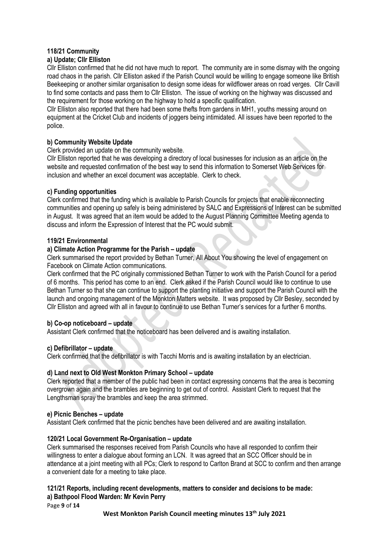## **118/21 Community**

## **a) Update; Cllr Elliston**

Cllr Elliston confirmed that he did not have much to report. The community are in some dismay with the ongoing road chaos in the parish. Cllr Elliston asked if the Parish Council would be willing to engage someone like British Beekeeping or another similar organisation to design some ideas for wildflower areas on road verges. Cllr Cavill to find some contacts and pass them to Cllr Elliston. The issue of working on the highway was discussed and the requirement for those working on the highway to hold a specific qualification.

Cllr Elliston also reported that there had been some thefts from gardens in MH1, youths messing around on equipment at the Cricket Club and incidents of joggers being intimidated. All issues have been reported to the police.

## **b) Community Website Update**

Clerk provided an update on the community website.

Cllr Elliston reported that he was developing a directory of local businesses for inclusion as an article on the website and requested confirmation of the best way to send this information to Somerset Web Services for inclusion and whether an excel document was acceptable. Clerk to check.

## **c) Funding opportunities**

Clerk confirmed that the funding which is available to Parish Councils for projects that enable reconnecting communities and opening up safely is being administered by SALC and Expressions of Interest can be submitted in August. It was agreed that an item would be added to the August Planning Committee Meeting agenda to discuss and inform the Expression of Interest that the PC would submit.

## **119/21 Environmental**

## **a) Climate Action Programme for the Parish – update**

Clerk summarised the report provided by Bethan Turner, All About You showing the level of engagement on Facebook on Climate Action communications.

Clerk confirmed that the PC originally commissioned Bethan Turner to work with the Parish Council for a period of 6 months. This period has come to an end. Clerk asked if the Parish Council would like to continue to use Bethan Turner so that she can continue to support the planting initiative and support the Parish Council with the launch and ongoing management of the Monkton Matters website. It was proposed by Cllr Besley, seconded by Cllr Elliston and agreed with all in favour to continue to use Bethan Turner's services for a further 6 months.

## **b) Co-op noticeboard – update**

Assistant Clerk confirmed that the noticeboard has been delivered and is awaiting installation.

## **c) Defibrillator – update**

Clerk confirmed that the defibrillator is with Tacchi Morris and is awaiting installation by an electrician.

## **d) Land next to Old West Monkton Primary School – update**

Clerk reported that a member of the public had been in contact expressing concerns that the area is becoming overgrown again and the brambles are beginning to get out of control. Assistant Clerk to request that the Lengthsman spray the brambles and keep the area strimmed.

## **e) Picnic Benches – update**

Assistant Clerk confirmed that the picnic benches have been delivered and are awaiting installation.

## **120/21 Local Government Re-Organisation – update**

Clerk summarised the responses received from Parish Councils who have all responded to confirm their willingness to enter a dialogue about forming an LCN. It was agreed that an SCC Officer should be in attendance at a joint meeting with all PCs; Clerk to respond to Carlton Brand at SCC to confirm and then arrange a convenient date for a meeting to take place.

## **121/21 Reports, including recent developments, matters to consider and decisions to be made: a) Bathpool Flood Warden: Mr Kevin Perry**

Page **9** of **14**

**West Monkton Parish Council meeting minutes 13th July 2021**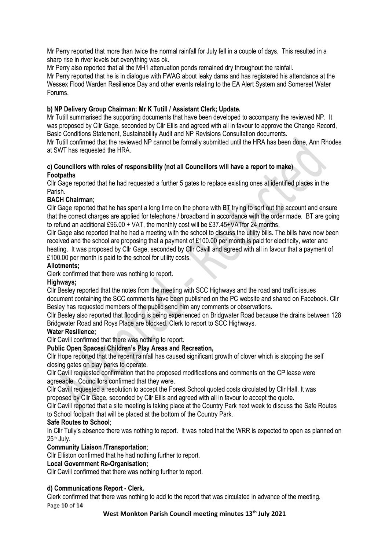Mr Perry reported that more than twice the normal rainfall for July fell in a couple of days. This resulted in a sharp rise in river levels but everything was ok.

Mr Perry also reported that all the MH1 attenuation ponds remained dry throughout the rainfall.

Mr Perry reported that he is in dialogue with FWAG about leaky dams and has registered his attendance at the Wessex Flood Warden Resilience Day and other events relating to the EA Alert System and Somerset Water Forums.

## **b) NP Delivery Group Chairman: Mr K Tutill / Assistant Clerk; Update.**

Mr Tutill summarised the supporting documents that have been developed to accompany the reviewed NP. It was proposed by Cllr Gage, seconded by Cllr Ellis and agreed with all in favour to approve the Change Record, Basic Conditions Statement, Sustainability Audit and NP Revisions Consultation documents.

Mr Tutill confirmed that the reviewed NP cannot be formally submitted until the HRA has been done, Ann Rhodes at SWT has requested the HRA.

### **c) Councillors with roles of responsibility (not all Councillors will have a report to make) Footpaths**

Cllr Gage reported that he had requested a further 5 gates to replace existing ones at identified places in the Parish.

### **BACH Chairman**;

Cllr Gage reported that he has spent a long time on the phone with BT trying to sort out the account and ensure that the correct charges are applied for telephone / broadband in accordance with the order made. BT are going to refund an additional £96.00 + VAT, the monthly cost will be £37.45+VATfor 24 months.

Cllr Gage also reported that he had a meeting with the school to discuss the utility bills. The bills have now been received and the school are proposing that a payment of £100.00 per month is paid for electricity, water and heating. It was proposed by Cllr Gage, seconded by Cllr Cavill and agreed with all in favour that a payment of £100.00 per month is paid to the school for utility costs.

#### **Allotments;**

Clerk confirmed that there was nothing to report.

## **Highways;**

Cllr Besley reported that the notes from the meeting with SCC Highways and the road and traffic issues document containing the SCC comments have been published on the PC website and shared on Facebook. Cllr Besley has requested members of the public send him any comments or observations.

Cllr Besley also reported that flooding is being experienced on Bridgwater Road because the drains between 128 Bridgwater Road and Roys Place are blocked. Clerk to report to SCC Highways.

#### **Water Resilience;**

Cllr Cavill confirmed that there was nothing to report.

## **Public Open Spaces/ Children's Play Areas and Recreation,**

Cllr Hope reported that the recent rainfall has caused significant growth of clover which is stopping the self closing gates on play parks to operate.

Cllr Cavill requested confirmation that the proposed modifications and comments on the CP lease were agreeable. Councillors confirmed that they were.

Cllr Cavill requested a resolution to accept the Forest School quoted costs circulated by Cllr Hall. It was proposed by Cllr Gage, seconded by Cllr Ellis and agreed with all in favour to accept the quote.

Cllr Cavill reported that a site meeting is taking place at the Country Park next week to discuss the Safe Routes to School footpath that will be placed at the bottom of the Country Park.

#### **Safe Routes to School**;

In Cllr Tully's absence there was nothing to report. It was noted that the WRR is expected to open as planned on 25th July.

## **Community Liaison /Transportation**;

Cllr Elliston confirmed that he had nothing further to report.

## **Local Government Re-Organisation;**

Cllr Cavill confirmed that there was nothing further to report.

## **d) Communications Report - Clerk.**

Page **10** of **14** Clerk confirmed that there was nothing to add to the report that was circulated in advance of the meeting.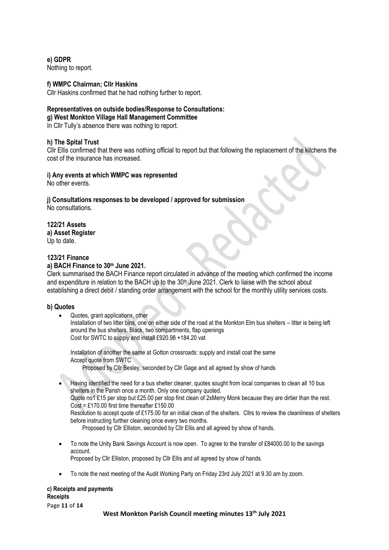**e) GDPR** 

Nothing to report.

#### **f) WMPC Chairman; Cllr Haskins**

Cllr Haskins confirmed that he had nothing further to report.

## **Representatives on outside bodies/Response to Consultations:**

**g) West Monkton Village Hall Management Committee**

In Cllr Tully's absence there was nothing to report.

## **h) The Spital Trust**

Cllr Ellis confirmed that there was nothing official to report but that following the replacement of the kitchens the cost of the insurance has increased.

### **i) Any events at which WMPC was represented**

No other events.

#### **j) Consultations responses to be developed / approved for submission** No consultations.

## **122/21 Assets a) Asset Register**

Up to date.

### **123/21 Finance**

## **a) BACH Finance to 30 th June 2021.**

Clerk summarised the BACH Finance report circulated in advance of the meeting which confirmed the income and expenditure in relation to the BACH up to the 30<sup>th</sup> June 2021. Clerk to liaise with the school about establishing a direct debit / standing order arrangement with the school for the monthly utility services costs.

#### **b) Quotes**

• Quotes, grant applications, other

Installation of two litter bins, one on either side of the road at the Monkton Elm bus shelters – litter is being left around the bus shelters. Black, two compartments, flap openings Cost for SWTC to supply and install £920.98 +184.20 vat

Installation of another the same at Gotton crossroads: supply and install coat the same Accept quote from SWTC

Proposed by Cllr Besley, seconded by Cllr Gage and all agreed by show of hands

- Having identified the need for a bus shelter cleaner, quotes sought from local companies to clean all 10 bus shelters in the Parish once a month. Only one company quoted. Quote no1 £15 per stop but £25.00 per stop first clean of 2xMerry Monk because they are dirtier than the rest.  $Cost = £170.00$  first time thereafter £150.00 Resolution to accept quote of £175.00 for an initial clean of the shelters. Cllrs to review the cleanliness of shelters before instructing further cleaning once every two months. Proposed by Cllr Elliston, seconded by Cllr Ellis and all agreed by show of hands.
- To note the Unity Bank Savings Account is now open. To agree to the transfer of £84000.00 to the savings account.

Proposed by Cllr Elliston, proposed by Cllr Ellis and all agreed by show of hands.

• To note the next meeting of the Audit Working Party on Friday 23rd July 2021 at 9.30 am by zoom.

## **c) Receipts and payments Receipts**

Page **11** of **14**

**West Monkton Parish Council meeting minutes 13th July 2021**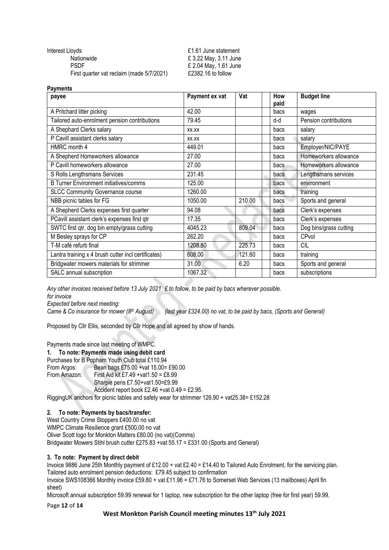| £1.61 June statement  |
|-----------------------|
| £ 3.22 May, 3.11 June |
| £ 2.04 May, 1.61 June |
| £2382.16 to follow    |
|                       |

| payee                                               | Payment ex vat | Vat    | How<br>paid | <b>Budget line</b>     |  |
|-----------------------------------------------------|----------------|--------|-------------|------------------------|--|
| A Pritchard litter picking                          | 42.00          |        | bacs        | wages                  |  |
| Tailored auto-enrolment pension contributions       | 79.45          |        | d-d         | Pension contributions  |  |
| A Shephard Clerks salary                            | XX.XX          |        | bacs        | salary                 |  |
| P Cavill assistant clerks salary                    | XX.XX          |        | bacs        | salary                 |  |
| HMRC month 4                                        | 449.01         |        | bacs        | Employer/NIC/PAYE      |  |
| A Shepherd Homeworkers allowance                    | 27.00          |        | bacs        | Homeworkers allowance  |  |
| P Cavill homeworkers allowance                      | 27.00          |        | bacs        | Homeworkers allowance  |  |
| S Rolls Lengthsmans Services                        | 231.45         |        | bacs        | Lengthsmans services   |  |
| <b>B Turner Environment initiatives/comms</b>       | 125.00         |        | bacs        | environment            |  |
| <b>SLCC Community Governance course</b>             | 1260.00        |        | bacs        | training               |  |
| NBB picnic tables for FG                            | 1050.00        | 210.00 | bacs        | Sports and general     |  |
| A Shepherd Clerks expenses first quarter            | 94.08          |        | bacs        | Clerk's expenses       |  |
| PCavill assistant clerk's expenses first qtr        | 17.35          |        | bacs        | Clerk's expenses       |  |
| SWTC first qtr. dog bin empty/grass cutting         | 4045.23        | 809.04 | bacs        | Dog bins/grass cutting |  |
| M Besley sprays for CP                              | 262.20         |        | bacs        | CPvol                  |  |
| T-M café refurb final                               | 1208.80        | 225.73 | bacs        | <b>CIL</b>             |  |
| Lantra training x 4 brush cutter incl certificates) | 608.00         | 121.60 | bacs        | training               |  |
| Bridgwater mowers materials for strimmer            | 31.00          | 6.20   | bacs        | Sports and general     |  |
| SALC annual subscription                            | 1067.32        |        | bacs        | subscriptions          |  |

*Any other invoices received before 13 July 2021 £ to follow, to be paid by bacs wherever possible.*

*for invoice*

**Payments**

*Expected before next meeting:*

*Came & Co insurance for mower (8th August) (last year £324.00) no vat, to be paid by bacs, (Sports and General)*

Proposed by Cllr Ellis, seconded by Cllr Hope and all agreed by show of hands.

Payments made since last meeting of WMPC.

**1. To note: Payments made using debit card**

Purchases for B Popham Youth Club total £110.94<br>From Argos: Bean bags £75.00 + vat 15.00=

From Argos: Bean bags £75.00 + vat 15.00 = £90.00<br>From Amazon: First Aid kit £7.49 + vat 1.50 = £8.99 First Aid kit  $£7.49 +vat1.50 = £8.99$ Sharpie pens £7.50+vat1.50=£9.99 Accident report book £2.46 +vat  $0.49 = \text{\textsterling}2.95$ . RiggingUK anchors for picnic tables and safety wear for strimmer 126.90 + vat25.38= £152.28

#### **2. To note: Payments by bacs/transfer:**

West Country Crime Stoppers £400.00 no vat WMPC Climate Resilience grant £500.00 no vat

Oliver Scott logo for Monkton Matters £80.00 (no vat)(Comms)

Bridgwater Mowers Stihl brush cutter £275.83 +vat  $55.17 = £331.00$  (Sports and General)

#### **3. To note: Payment by direct debit**

Invoice 9886 June 25th Monthly payment of £12.00 + vat £2.40 = £14.40 to Tailored Auto Enrolment, for the servicing plan. Tailored auto enrolment pension deductions: £79.45 subject to confirmation

Invoice SWS108366 Monthly invoice £59.80 + vat £11.96 = £71.76 to Somerset Web Services (13 mailboxes) April fin sheet)

Microsoft annual subscription 59.99 renewal for 1 laptop, new subscription for the other laptop (free for first year) 59.99.

Page **12** of **14**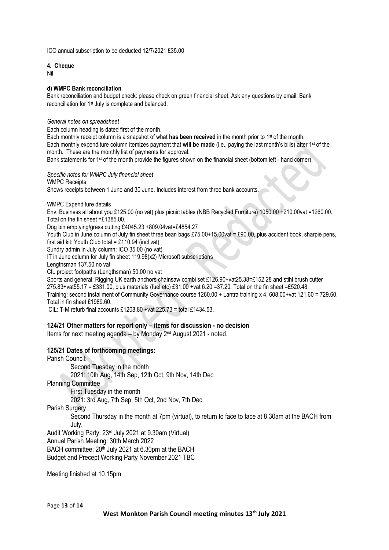ICO annual subscription to be deducted 12/7/2021 £35.00

### **4. Cheque**

Nil

#### **d) WMPC Bank reconciliation**

Bank reconciliation and budget check: please check on green financial sheet. Ask any questions by email. Bank reconciliation for 1st July is complete and balanced.

*General notes on spreadsheet* 

Each column heading is dated first of the month.

Each monthly receipt column is a snapshot of what **has been received** in the month prior to 1st of the month. Each monthly expenditure column itemizes payment that **will be made** (i.e., paying the last month's bills) after 1st of the month. These are the monthly list of payments for approval.

Bank statements for 1<sup>st</sup> of the month provide the figures shown on the financial sheet (bottom left - hand corner).

*Specific notes for WMPC July financial sheet*  WMPC Receipts Shows receipts between 1 June and 30 June. Includes interest from three bank accounts.

WMPC Expenditure details

Env: Business all about you £125.00 (no vat) plus picnic tables (NBB Recycled Furniture) 1050.00 +210.00vat =1260.00. Total on the fin sheet =£1385.00.

Dog bin emptying/grass cutting £4045.23 +809.04vat=£4854.27

Youth Club in June column of July fin sheet three bean bags £75.00+15.00vat = £90.00, plus accident book, sharpie pens, first aid kit: Youth Club total =  $£110.94$  (incl vat)

Sundry admin in July column: ICO 35.00 (no vat)

IT in June column for July fin sheet 119.98(x2) Microsoft subscriptions

Lengthsman 137.50 no vat

CIL project footpaths (Lengthsman) 50.00 no vat

Sports and general: Rigging UK earth anchors chainsaw combi set £126.90+vat25.38=£152.28 and stihl brush cutter

275.83+vat55.17 = £331.00, plus materials (fuel etc) £31.00 +vat 6.20 =37.20. Total on the fin sheet =£520.48.

Training: second installment of Community Governance course 1260.00 + Lantra training x 4, 608.00+vat 121.60 = 729.60. Total in fin sheet £1989.60.

CIL: T-M refurb final accounts £1208.80 +vat 225.73 = total £1434.53.

#### **124/21 Other matters for report only – items for discussion - no decision**

Items for next meeting agenda - by Monday 2<sup>nd</sup> August 2021 - noted.

## **125/21 Dates of forthcoming meetings:**

Parish Council: Second Tuesday in the month 2021: 10th Aug, 14th Sep, 12th Oct, 9th Nov, 14th Dec Planning Committee First Tuesday in the month 2021: 3rd Aug, 7th Sep, 5th Oct, 2nd Nov, 7th Dec Parish Surgery Second Thursday in the month at 7pm (virtual), to return to face to face at 8.30am at the BACH from July. Audit Working Party: 23rd July 2021 at 9.30am (Virtual) Annual Parish Meeting: 30th March 2022 BACH committee: 20<sup>th</sup> July 2021 at 6.30pm at the BACH Budget and Precept Working Party November 2021 TBC

Meeting finished at 10.15pm